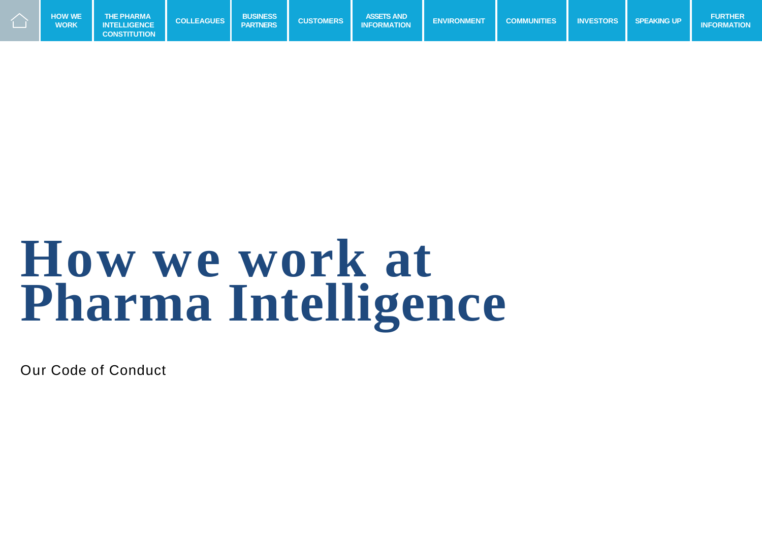

## **How we work at Pharma Intelligence**

Our Code of Conduct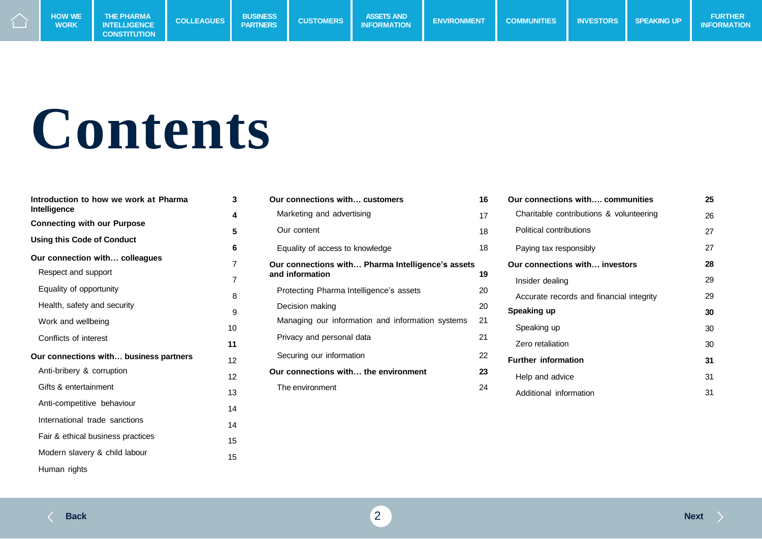

# **Contents**

| Introduction to how we work at Pharma<br>Intelligence | 3      |
|-------------------------------------------------------|--------|
| <b>Connecting with our Purpose</b>                    | 4      |
| <b>Using this Code of Conduct</b>                     | 5<br>6 |
| Our connection with colleagues                        | 7      |
| Respect and support                                   | 7      |
| Equality of opportunity                               | 8      |
| Health, safety and security                           | 9      |
| Work and wellbeing                                    | 10     |
| Conflicts of interest                                 |        |
| Our connections with business partners                | 11     |
| Anti-bribery & corruption                             | 12     |
|                                                       | 12     |
| Gifts & entertainment                                 | 13     |
| Anti-competitive behaviour                            | 14     |
| International trade sanctions                         | 14     |
| Fair & ethical business practices                     | 15     |
| Modern slavery & child labour                         | 15     |
| Human rights                                          |        |

| Our connections with customers                    | 16 |
|---------------------------------------------------|----|
| Marketing and advertising                         | 17 |
| Our content                                       | 18 |
| Equality of access to knowledge                   | 18 |
| Our connections with Pharma Intelligence's assets |    |
| and information                                   | 19 |
| Protecting Pharma Intelligence's assets           | 20 |
| Decision making                                   | 20 |
| Managing our information and information systems  | 21 |
| Privacy and personal data                         | 21 |
| Securing our information                          | 22 |
| Our connections with the environment              | 23 |
| The environment                                   | 24 |

| Our connections with communities         | 25 |
|------------------------------------------|----|
| Charitable contributions & volunteering  | 26 |
| Political contributions                  | 27 |
| Paying tax responsibly                   | 27 |
| Our connections with investors           | 28 |
| Insider dealing                          | 29 |
| Accurate records and financial integrity | 29 |
| Speaking up                              | 30 |
| Speaking up                              | 30 |
| Zero retaliation                         | 30 |
| <b>Further information</b>               | 31 |
| Help and advice                          | 31 |
| Additional information                   | 31 |

 $\rightarrow$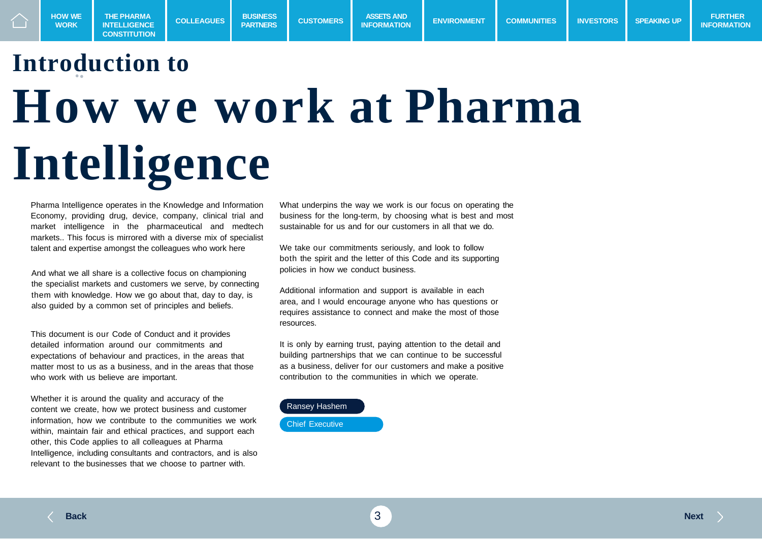## **Introduction to How we work at Pharma Intelligence**

**COLLEAGUES BUSINESS**

**COLLEAGUES** BUSINESS CUSTOMERS ASSETS AND ENVIRONMENT COMMUNITIES INVESTORS<br>INCREASE INTELLIGENCE COLLEAGUES BARTNERS CUSTOMERS INFORMATION ENVIRONMENT COMMUNITIES INVESTORS

**PASSETS AND**<br>**INFORMATION** 

Pharma Intelligence operates in the Knowledge and Information Economy, providing drug, device, company, clinical trial and market intelligence in the pharmaceutical and medtech markets.. This focus is mirrored with a diverse mix of specialist talent and expertise amongst the colleagues who work here

And what we all share is a collective focus on championing the specialist markets and customers we serve, by connecting them with knowledge. How we go about that, day to day, is also guided by a common set of principles and beliefs.

This document is our Code of Conduct and it provides detailed information around our commitments and expectations of behaviour and practices, in the areas that matter most to us as a business, and in the areas that those who work with us believe are important.

Whether it is around the quality and accuracy of the content we create, how we protect business and customer information, how we contribute to the communities we work within, maintain fair and ethical practices, and support each other, this Code applies to all colleagues at Pharma Intelligence, including consultants and contractors, and is also relevant to the businesses that we choose to partner with.

What underpins the way we work is our focus on operating the business for the long-term, by choosing what is best and most sustainable for us and for our customers in all that we do.

**INFORMATION ENVIRONMENT COMMUNITIES** INVESTORS SPEAKING UP **INFORMATION** 

We take our commitments seriously, and look to follow both the spirit and the letter of this Code and its supporting policies in how we conduct business.

Additional information and support is available in each area, and I would encourage anyone who has questions or requires assistance to connect and make the most of those resources.

It is only by earning trust, paying attention to the detail and building partnerships that we can continue to be successful as a business, deliver for our customers and make a positive contribution to the communities in which we operate.

#### Ransey Hashem

Chief Executive

**WORK**

**THE PHARMA INTELLIGENCE CONSTITUTION**

**INFORMATION**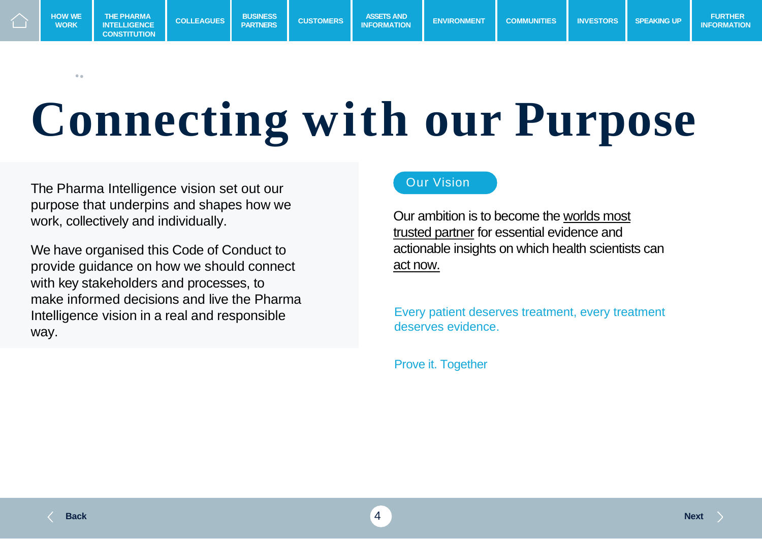

 $\sim$ 

# **Connecting with our Purpose**

The Pharma Intelligence vision set out our purpose that underpins and shapes how we work, collectively and individually.

We have organised this Code of Conduct to provide guidance on how we should connect with key stakeholders and processes, to make informed decisions and live the Pharma Intelligence vision in a real and responsible way.

#### Our Vision

Our ambition is to become the worlds most trusted partner for essential evidence and actionable insights on which health scientists can act now.

Every patient deserves treatment, every treatment deserves evidence.

Prove it. Together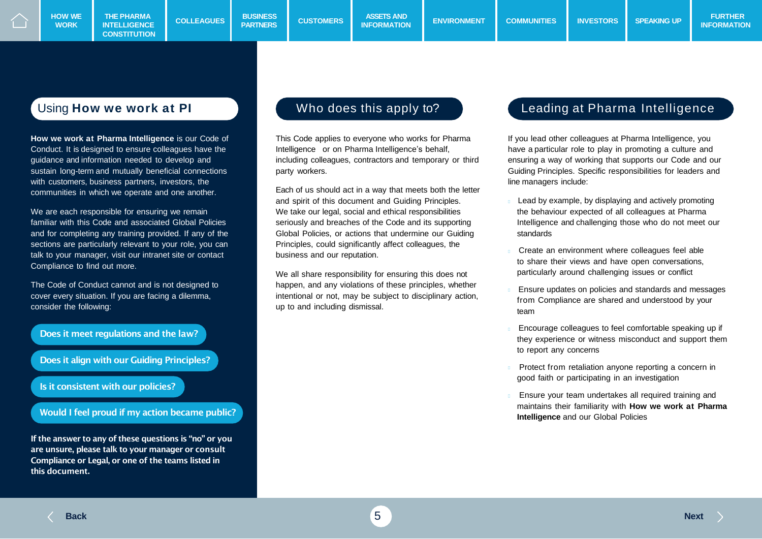**CONSTITUTION**

**How we work at Pharma Intelligence** is our Code of Conduct. It is designed to ensure colleagues have the guidance and information needed to develop and sustain long-term and mutually beneficial connections with customers, business partners, investors, the communities in which we operate and one another.

We are each responsible for ensuring we remain familiar with this Code and associated Global Policies and for completing any training provided. If any of the sections are particularly relevant to your role, you can talk to your manager, visit our intranet site or contact Compliance to find out more.

The Code of Conduct cannot and is not designed to cover every situation. If you are facing a dilemma, consider the following:



If the answer to any of these questions is "no" or you are unsure, please talk to your manager or consult Compliance or Legal, or one of the teams listed in this document.

This Code applies to everyone who works for Pharma Intelligence or on Pharma Intelligence's behalf, including colleagues, contractors and temporary or third party workers.

Each of us should act in a way that meets both the letter and spirit of this document and Guiding Principles. We take our legal, social and ethical responsibilities seriously and breaches of the Code and its supporting Global Policies, or actions that undermine our Guiding Principles, could significantly affect colleagues, the business and our reputation.

We all share responsibility for ensuring this does not happen, and any violations of these principles, whether intentional or not, may be subject to disciplinary action, up to and including dismissal.

#### Using **How we work at PI** Note of the does this apply to? Leading at Pharma Intelligence

If you lead other colleagues at Pharma Intelligence, you have a particular role to play in promoting a culture and ensuring a way of working that supports our Code and our Guiding Principles. Specific responsibilities for leaders and line managers include:

- Lead by example, by displaying and actively promoting the behaviour expected of all colleagues at Pharma Intelligence and challenging those who do not meet our standards
- Create an environment where colleagues feel able to share their views and have open conversations, particularly around challenging issues or conflict
- Ensure updates on policies and standards and messages from Compliance are shared and understood by your team
- Encourage colleagues to feel comfortable speaking up if they experience or witness misconduct and support them to report any concerns
- Protect from retaliation anyone reporting a concern in good faith or participating in an investigation
- Ensure your team undertakes all required training and maintains their familiarity with **How we work at Pharma Intelligence** and our Global Policies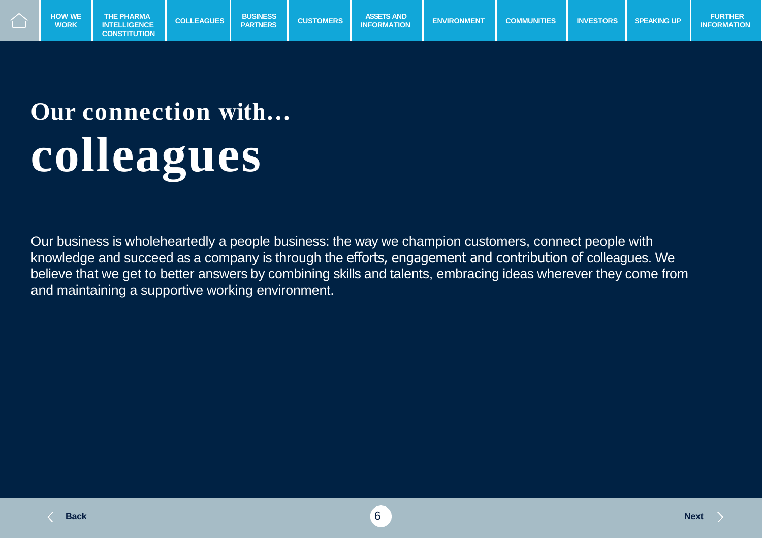

## **Our connection with… colleagues**

Our business is wholeheartedly a people business: the way we champion customers, connect people with knowledge and succeed as a company is through the efforts, engagement and contribution of colleagues. We believe that we get to better answers by combining skills and talents, embracing ideas wherever they come from and maintaining a supportive working environment.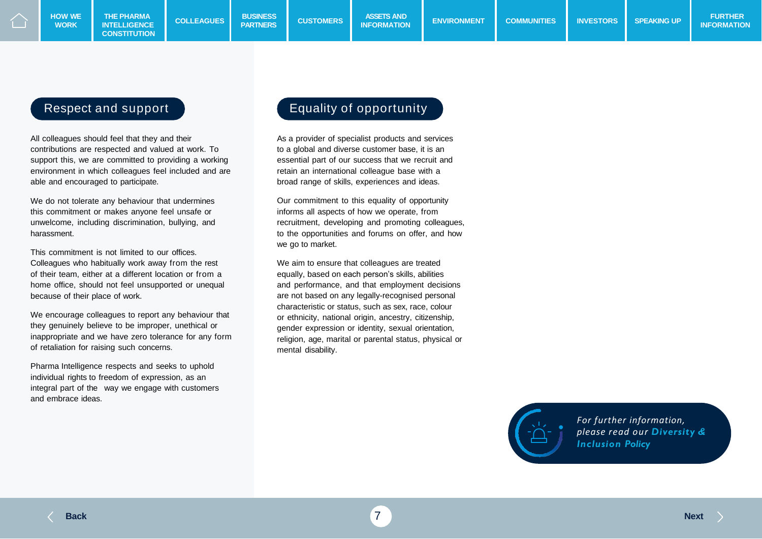#### Respect and support

All colleagues should feel that they and their contributions are respected and valued at work. To support this, we are committed to providing a working environment in which colleagues feel included and are able and encouraged to participate.

We do not tolerate any behaviour that undermines this commitment or makes anyone feel unsafe or unwelcome, including discrimination, bullying, and harassment.

This commitment is not limited to our offices. Colleagues who habitually work away from the rest of their team, either at a different location or from a home office, should not feel unsupported or unequal because of their place of work.

We encourage colleagues to report any behaviour that they genuinely believe to be improper, unethical or inappropriate and we have zero tolerance for any form of retaliation for raising such concerns.

Pharma Intelligence respects and seeks to uphold individual rights to freedom of expression, as an integral part of the way we engage with customers and embrace ideas.

#### Equality of opportunity

As a provider of specialist products and services to a global and diverse customer base, it is an essential part of our success that we recruit and retain an international colleague base with a broad range of skills, experiences and ideas.

Our commitment to this equality of opportunity informs all aspects of how we operate, from recruitment, developing and promoting colleagues, to the opportunities and forums on offer, and how we go to market.

We aim to ensure that colleagues are treated equally, based on each person's skills, abilities and performance, and that employment decisions are not based on any legally-recognised personal characteristic or status, such as sex, race, colour or ethnicity, national origin, ancestry, citizenship, gender expression or identity, sexual orientation, religion, age, marital or parental status, physical or mental disability.



*For further information, please read our Diversity & Inclusion Policy*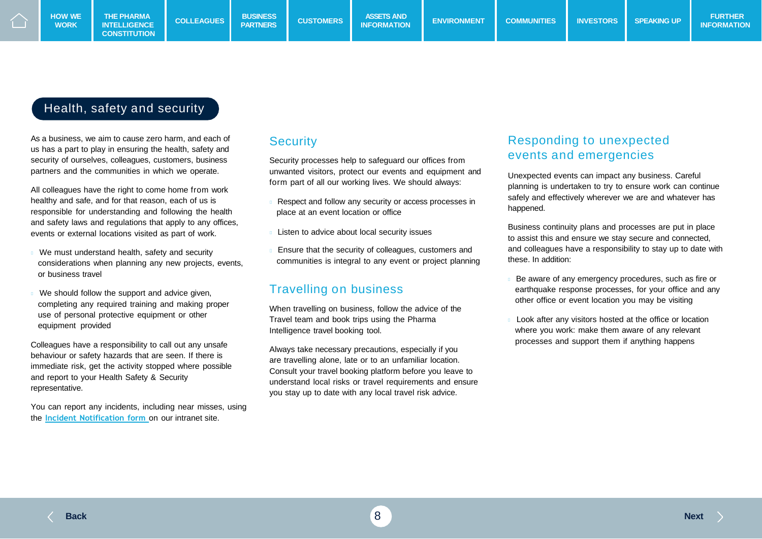### Health, safety and security

As a business, we aim to cause zero harm, and each of us has a part to play in ensuring the health, safety and security of ourselves, colleagues, customers, business partners and the communities in which we operate.

All colleagues have the right to come home from work healthy and safe, and for that reason, each of us is responsible for understanding and following the health and safety laws and regulations that apply to any offices, events or external locations visited as part of work.

- We must understand health, safety and security considerations when planning any new projects, events, or business travel
- We should follow the support and advice given, completing any required training and making proper use of personal protective equipment or other equipment provided

Colleagues have a responsibility to call out any unsafe behaviour or safety hazards that are seen. If there is immediate risk, get the activity stopped where possible and report to your Health Safety & Security representative.

You can report any incidents, including near misses, using the **Incident [Notification](https://portal.informa.com/sites/essentials/health-and-safety/SitePage/100305/health-and-safety-incident-notification-form) form** on our intranet site.

#### **Security**

Security processes help to safeguard our offices from unwanted visitors, protect our events and equipment and form part of all our working lives. We should always:

- Respect and follow any security or access processes in place at an event location or office
- Listen to advice about local security issues
- Ensure that the security of colleagues, customers and communities is integral to any event or project planning

#### Travelling on business

When travelling on business, follow the advice of the Travel team and book trips using the Pharma Intelligence travel booking tool.

Always take necessary precautions, especially if you are travelling alone, late or to an unfamiliar location. Consult your travel booking platform before you leave to understand local risks or travel requirements and ensure you stay up to date with any local travel risk advice.

### Responding to unexpected events and emergencies

Unexpected events can impact any business. Careful planning is undertaken to try to ensure work can continue safely and effectively wherever we are and whatever has happened.

Business continuity plans and processes are put in place to assist this and ensure we stay secure and connected, and colleagues have a responsibility to stay up to date with these. In addition:

- Be aware of any emergency procedures, such as fire or earthquake response processes, for your office and any other office or event location you may be visiting
- Look after any visitors hosted at the office or location where you work: make them aware of any relevant processes and support them if anything happens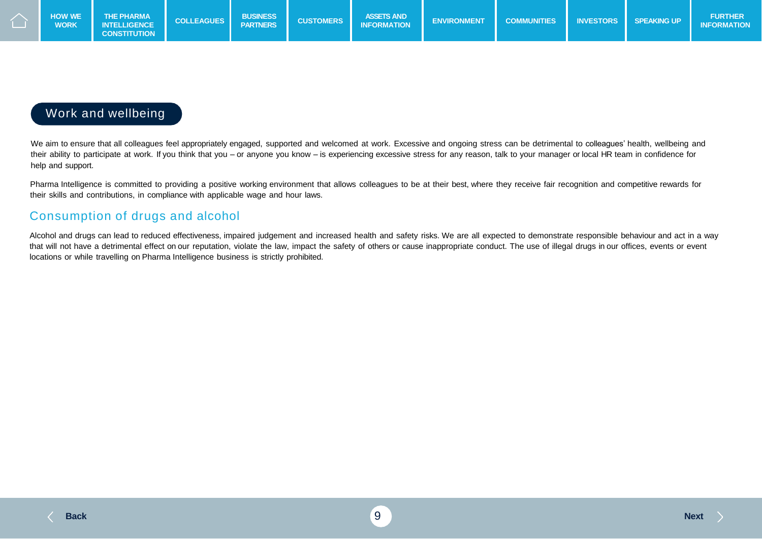

#### Work and wellbeing

We aim to ensure that all colleagues feel appropriately engaged, supported and welcomed at work. Excessive and ongoing stress can be detrimental to colleagues' health, wellbeing and their ability to participate at work. If you think that you – or anyone you know – is experiencing excessive stress for any reason, talk to your manager or local HR team in confidence for help and support.

Pharma Intelligence is committed to providing a positive working environment that allows colleagues to be at their best, where they receive fair recognition and competitive rewards for their skills and contributions, in compliance with applicable wage and hour laws.

#### Consumption of drugs and alcohol

Alcohol and drugs can lead to reduced effectiveness, impaired judgement and increased health and safety risks. We are all expected to demonstrate responsible behaviour and act in a way that will not have a detrimental effect on our reputation, violate the law, impact the safety of others or cause inappropriate conduct. The use of illegal drugs in our offices, events or event locations or while travelling on Pharma Intelligence business is strictly prohibited.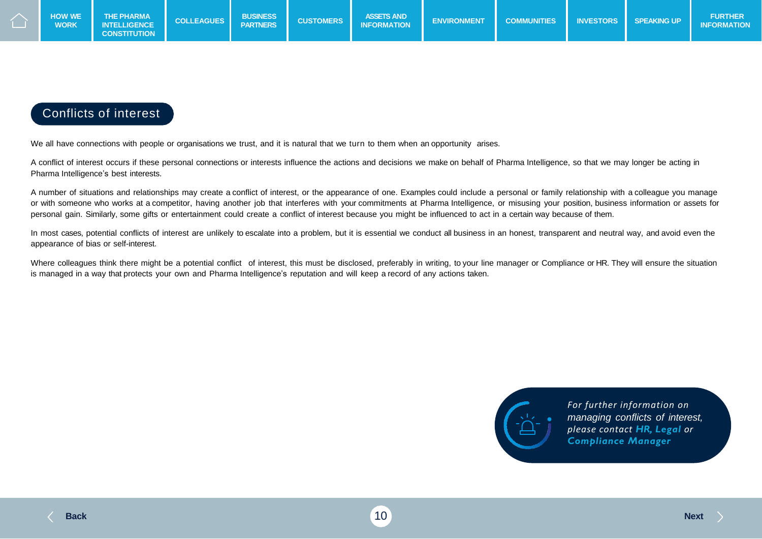

#### Conflicts of interest

We all have connections with people or organisations we trust, and it is natural that we turn to them when an opportunity arises.

A conflict of interest occurs if these personal connections or interests influence the actions and decisions we make on behalf of Pharma Intelligence, so that we may longer be acting in Pharma Intelligence's best interests.

A number of situations and relationships may create a conflict of interest, or the appearance of one. Examples could include a personal or family relationship with a colleague you manage or with someone who works at a competitor, having another job that interferes with your commitments at Pharma Intelligence, or misusing your position, business information or assets for personal gain. Similarly, some gifts or entertainment could create a conflict of interest because you might be influenced to act in a certain way because of them.

In most cases, potential conflicts of interest are unlikely to escalate into a problem, but it is essential we conduct all business in an honest, transparent and neutral way, and avoid even the appearance of bias or self-interest.

Where colleagues think there might be a potential conflict of interest, this must be disclosed, preferably in writing, to your line manager or Compliance or HR. They will ensure the situation is managed in a way that protects your own and Pharma Intelligence's reputation and will keep a record of any actions taken.



*For further information on managing conflicts of interest, please contact HR, Legal or Compliance Manager*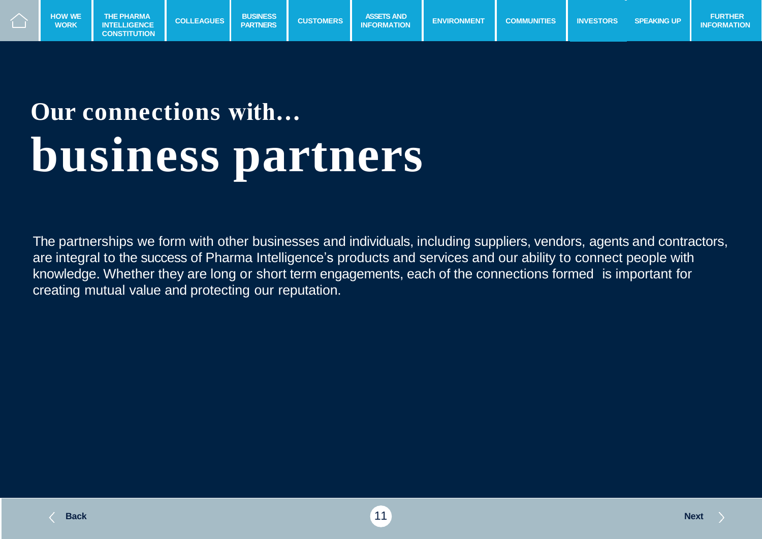

## **Our connections with… business partners**

The partnerships we form with other businesses and individuals, including suppliers, vendors, agents and contractors, are integral to the success of Pharma Intelligence's products and services and our ability to connect people with knowledge. Whether they are long or short term engagements, each of the connections formed is important for creating mutual value and protecting our reputation.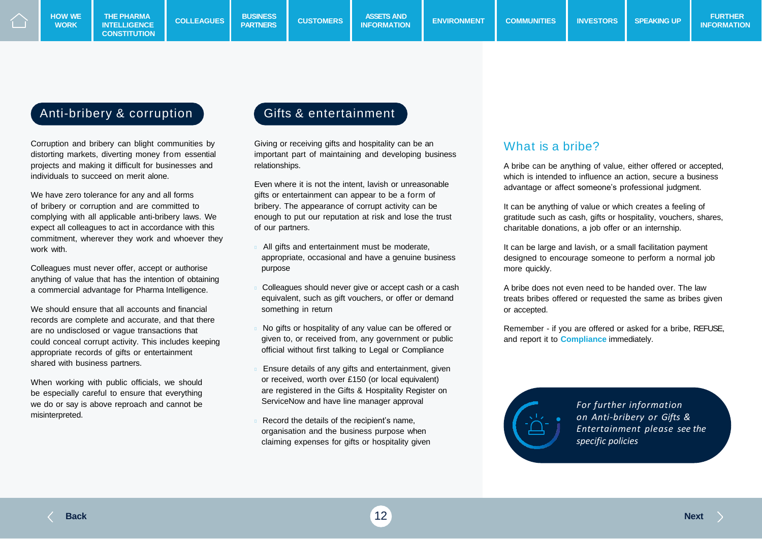### Anti-bribery & corruption

Corruption and bribery can blight communities by distorting markets, diverting money from essential projects and making it difficult for businesses and individuals to succeed on merit alone.

We have zero tolerance for any and all forms of bribery or corruption and are committed to complying with all applicable anti-bribery laws. We expect all colleagues to act in accordance with this commitment, wherever they work and whoever they work with.

Colleagues must never offer, accept or authorise anything of value that has the intention of obtaining a commercial advantage for Pharma Intelligence.

We should ensure that all accounts and financial records are complete and accurate, and that there are no undisclosed or vague transactions that could conceal corrupt activity. This includes keeping appropriate records of gifts or entertainment shared with business partners.

When working with public officials, we should be especially careful to ensure that everything we do or say is above reproach and cannot be misinterpreted.

#### Gifts & entertainment

Giving or receiving gifts and hospitality can be an important part of maintaining and developing business relationships.

Even where it is not the intent, lavish or unreasonable gifts or entertainment can appear to be a form of bribery. The appearance of corrupt activity can be enough to put our reputation at risk and lose the trust of our partners.

- All gifts and entertainment must be moderate, appropriate, occasional and have a genuine business purpose
- Colleagues should never give or accept cash or a cash equivalent, such as gift vouchers, or offer or demand something in return
- No gifts or hospitality of any value can be offered or given to, or received from, any government or public official without first talking to Legal or Compliance
- Ensure details of any gifts and entertainment, given or received, worth over £150 (or local equivalent) are registered in the Gifts & Hospitality Register on ServiceNow and have line manager approval
- Record the details of the recipient's name, organisation and the business purpose when claiming expenses for gifts or hospitality given

#### What is a bribe?

A bribe can be anything of value, either offered or accepted, which is intended to influence an action, secure a business advantage or affect someone's professional judgment.

It can be anything of value or which creates a feeling of gratitude such as cash, gifts or hospitality, vouchers, shares, charitable donations, a job offer or an internship.

It can be large and lavish, or a small facilitation payment designed to encourage someone to perform a normal job more quickly.

A bribe does not even need to be handed over. The law treats bribes offered or requested the same as bribes given or accepted.

Remember - if you are offered or asked for a bribe, REFUSE, and report it to **Compliance** immediately.



*For further information on Anti-bribery or Gifts & Entertainment please see the specific policies*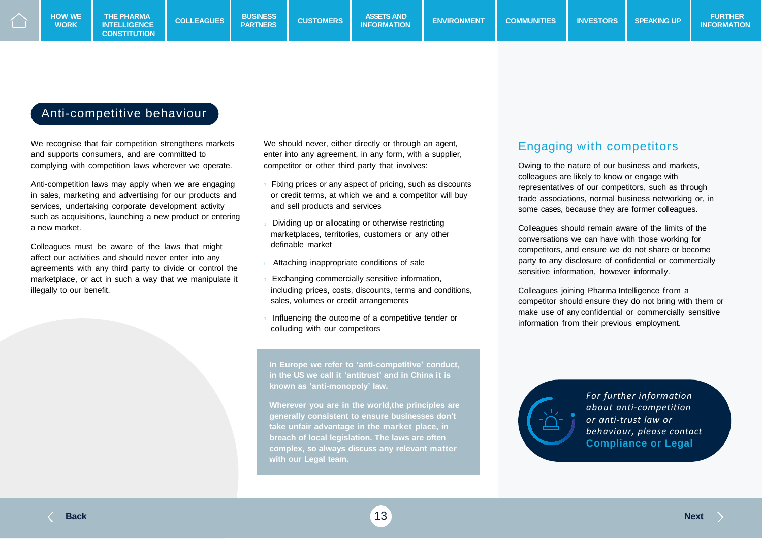#### Anti-competitive behaviour

We recognise that fair competition strengthens markets and supports consumers, and are committed to complying with competition laws wherever we operate.

Anti-competition laws may apply when we are engaging in sales, marketing and advertising for our products and services, undertaking corporate development activity such as acquisitions, launching a new product or entering a new market.

Colleagues must be aware of the laws that might affect our activities and should never enter into any agreements with any third party to divide or control the marketplace, or act in such a way that we manipulate it illegally to our benefit.

We should never, either directly or through an agent, enter into any agreement, in any form, with a supplier, competitor or other third party that involves:

- Fixing prices or any aspect of pricing, such as discounts or credit terms, at which we and a competitor will buy and sell products and services
- Dividing up or allocating or otherwise restricting marketplaces, territories, customers or any other definable market
- Attaching inappropriate conditions of sale
- Exchanging commercially sensitive information, including prices, costs, discounts, terms and conditions, sales, volumes or credit arrangements
- Influencing the outcome of a competitive tender or colluding with our competitors

**In Europe we refer to 'anti-competitive' conduct, in the US we call it 'antitrust' and in China it is known as 'anti-monopoly' law.**

**Wherever you are in the world,the principles are generally consistent to ensure businesses don't take unfair advantage in the market place, in breach of local legislation. The laws are often complex, so always discuss any relevant matter with our Legal team.**

### Engaging with competitors

Owing to the nature of our business and markets, colleagues are likely to know or engage with representatives of our competitors, such as through trade associations, normal business networking or, in some cases, because they are former colleagues.

Colleagues should remain aware of the limits of the conversations we can have with those working for competitors, and ensure we do not share or become party to any disclosure of confidential or commercially sensitive information, however informally.

Colleagues joining Pharma Intelligence from a competitor should ensure they do not bring with them or make use of any confidential or commercially sensitive information from their previous employment.



*For further information about anti-competition or anti-trust law or behaviour, please contact*  **Compliance or Legal**

**Back** 13 **Next**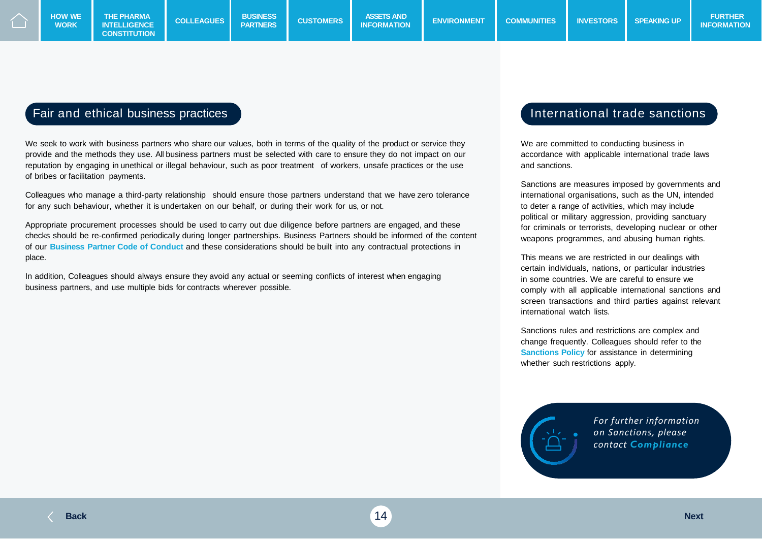**WORK**

### Fair and ethical business practices

We seek to work with business partners who share our values, both in terms of the quality of the product or service they provide and the methods they use. All business partners must be selected with care to ensure they do not impact on our reputation by engaging in unethical or illegal behaviour, such as poor treatment of workers, unsafe practices or the use of bribes or facilitation payments.

Colleagues who manage a third-party relationship should ensure those partners understand that we have zero tolerance for any such behaviour, whether it is undertaken on our behalf, or during their work for us, or not.

Appropriate procurement processes should be used to carry out due diligence before partners are engaged, and these checks should be re-confirmed periodically during longer partnerships. Business Partners should be informed of the content of our **Business Partner Code of Conduct** and these considerations should be built into any contractual protections in place.

In addition, Colleagues should always ensure they avoid any actual or seeming conflicts of interest when engaging business partners, and use multiple bids for contracts wherever possible.

#### International trade sanctions

We are committed to conducting business in accordance with applicable international trade laws and sanctions.

Sanctions are measures imposed by governments and international organisations, such as the UN, intended to deter a range of activities, which may include political or military aggression, providing sanctuary for criminals or terrorists, developing nuclear or other weapons programmes, and abusing human rights.

This means we are restricted in our dealings with certain individuals, nations, or particular industries in some countries. We are careful to ensure we comply with all applicable international sanctions and screen transactions and third parties against relevant international watch lists.

Sanctions rules and restrictions are complex and change frequently. Colleagues should refer to the **Sanctions Policy** for assistance in determining whether such restrictions apply.



*For further information on Sanctions, please contact Compliance*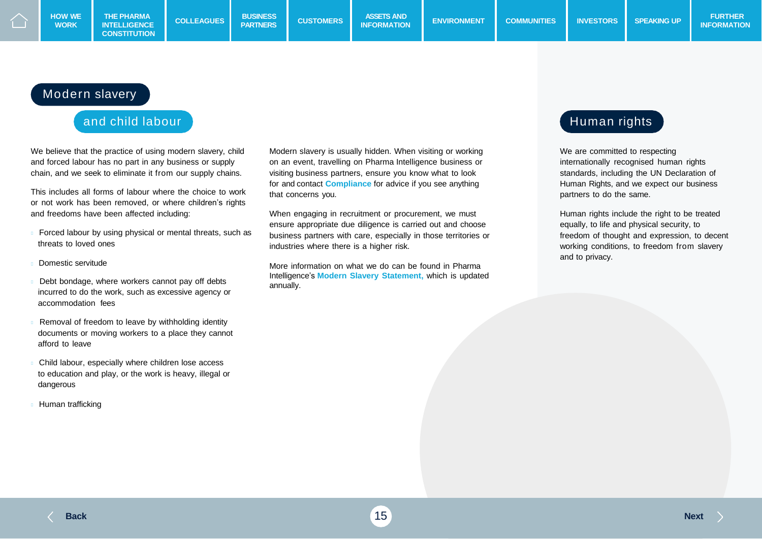#### Modern slavery

#### and child labour

We believe that the practice of using modern slavery, child and forced labour has no part in any business or supply chain, and we seek to eliminate it from our supply chains.

This includes all forms of labour where the choice to work or not work has been removed, or where children's rights and freedoms have been affected including:

- Forced labour by using physical or mental threats, such as threats to loved ones
- Domestic servitude
- Debt bondage, where workers cannot pay off debts incurred to do the work, such as excessive agency or accommodation fees
- Removal of freedom to leave by withholding identity documents or moving workers to a place they cannot afford to leave
- Child labour, especially where children lose access to education and play, or the work is heavy, illegal or dangerous
- Human trafficking

Modern slavery is usually hidden. When visiting or working on an event, travelling on Pharma Intelligence business or visiting business partners, ensure you know what to look for and contact **Compliance** for advice if you see anything that concerns you.

When engaging in recruitment or procurement, we must ensure appropriate due diligence is carried out and choose business partners with care, especially in those territories or industries where there is a higher risk.

More information on what we do can be found in Pharma Intelligence's **Modern Slavery Statement,** which is updated annually.

### Human rights

We are committed to respecting internationally recognised human rights standards, including the UN Declaration of Human Rights, and we expect our business partners to do the same.

Human rights include the right to be treated equally, to life and physical security, to freedom of thought and expression, to decent working conditions, to freedom from slavery and to privacy.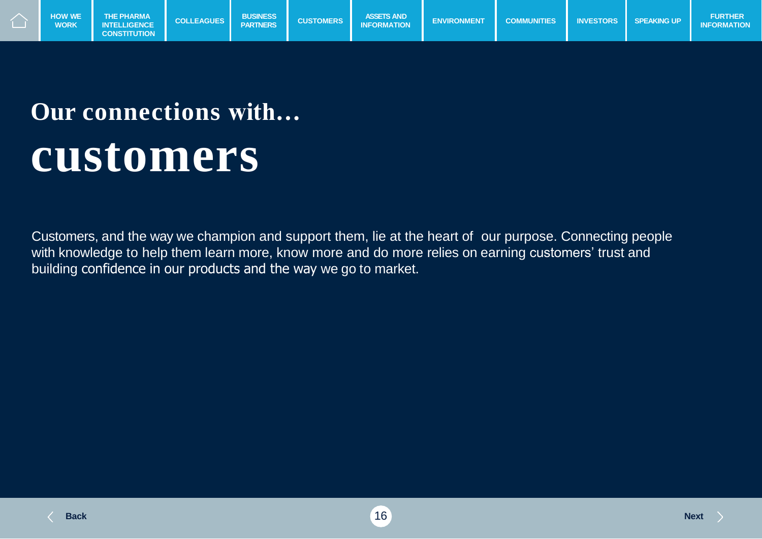

## **Our connections with… customers**

Customers, and the way we champion and support them, lie at the heart of our purpose. Connecting people with knowledge to help them learn more, know more and do more relies on earning customers' trust and building confidence in our products and the way we go to market.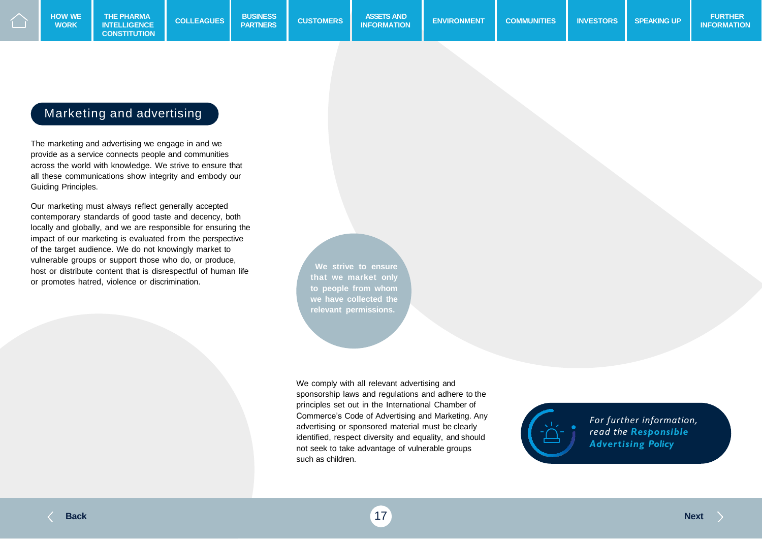#### Marketing and advertising

The marketing and advertising we engage in and we provide as a service connects people and communities across the world with knowledge. We strive to ensure that all these communications show integrity and embody our Guiding Principles.

Our marketing must always reflect generally accepted contemporary standards of good taste and decency, both locally and globally, and we are responsible for ensuring the impact of our marketing is evaluated from the perspective of the target audience. We do not knowingly market to vulnerable groups or support those who do, or produce, host or distribute content that is disrespectful of human life or promotes hatred, violence or discrimination.

**We strive to ensure that we market only to people from whom we have collected the relevant permissions.**

We comply with all relevant advertising and sponsorship laws and regulations and adhere to the principles set out in the International Chamber of Commerce's Code of Advertising and Marketing. Any advertising or sponsored material must be clearly identified, respect diversity and equality, and should not seek to take advantage of vulnerable groups such as children.



*For further information, read the Responsible Advertising Policy*

**Back** 17 **Next**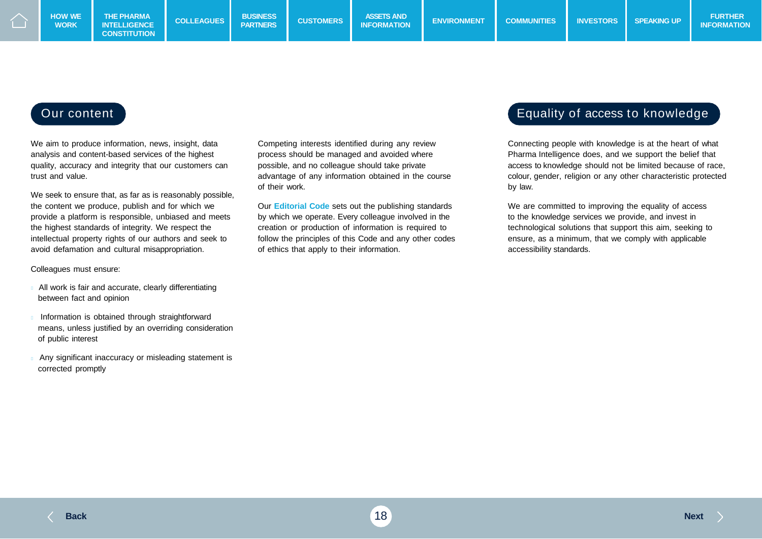We aim to produce information, news, insight, data analysis and content-based services of the highest quality, accuracy and integrity that our customers can trust and value.

We seek to ensure that, as far as is reasonably possible, the content we produce, publish and for which we provide a platform is responsible, unbiased and meets the highest standards of integrity. We respect the intellectual property rights of our authors and seek to avoid defamation and cultural misappropriation.

Colleagues must ensure:

- All work is fair and accurate, clearly differentiating between fact and opinion
- Information is obtained through straightforward means, unless justified by an overriding consideration of public interest
- Any significant inaccuracy or misleading statement is corrected promptly

Competing interests identified during any review process should be managed and avoided where possible, and no colleague should take private advantage of any information obtained in the course of their work.

Our **Editorial Code** sets out the publishing standards by which we operate. Every colleague involved in the creation or production of information is required to follow the principles of this Code and any other codes of ethics that apply to their information.

#### Our content **Equality of access to knowledge**

Connecting people with knowledge is at the heart of what Pharma Intelligence does, and we support the belief that access to knowledge should not be limited because of race, colour, gender, religion or any other characteristic protected by law.

We are committed to improving the equality of access to the knowledge services we provide, and invest in technological solutions that support this aim, seeking to ensure, as a minimum, that we comply with applicable accessibility standards.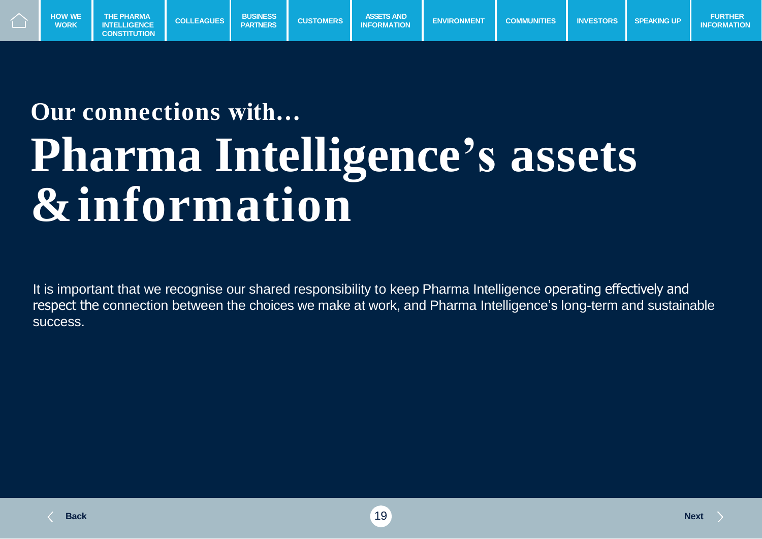

## **Our connections with… Pharma Intelligence's assets &information**

It is important that we recognise our shared responsibility to keep Pharma Intelligence operating effectively and respect the connection between the choices we make at work, and Pharma Intelligence's long-term and sustainable success.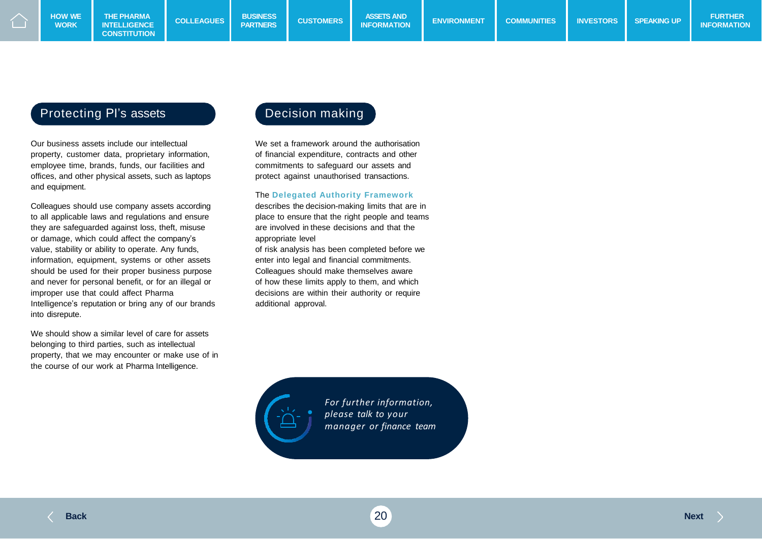#### Protecting PI's assets **Decision making**

**WORK**

Our business assets include our intellectual property, customer data, proprietary information, employee time, brands, funds, our facilities and offices, and other physical assets, such as laptops and equipment.

Colleagues should use company assets according to all applicable laws and regulations and ensure they are safeguarded against loss, theft, misuse or damage, which could affect the company's value, stability or ability to operate. Any funds, information, equipment, systems or other assets should be used for their proper business purpose and never for personal benefit, or for an illegal or improper use that could affect Pharma Intelligence's reputation or bring any of our brands into disrepute.

We should show a similar level of care for assets belonging to third parties, such as intellectual property, that we may encounter or make use of in the course of our work at Pharma Intelligence.

We set a framework around the authorisation of financial expenditure, contracts and other commitments to safeguard our assets and protect against unauthorised transactions.

#### The **Delegated Authority Framework**

describes the decision-making limits that are in place to ensure that the right people and teams are involved in these decisions and that the appropriate level of risk analysis has been completed before we

enter into legal and financial commitments. Colleagues should make themselves aware of how these limits apply to them, and which decisions are within their authority or require additional approval.

> *For further information, please talk to your manager or finance team*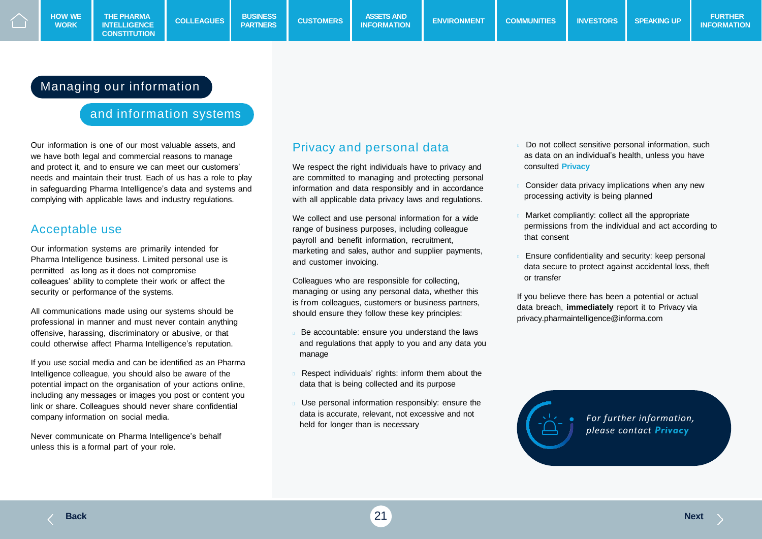#### Managing our information

#### and information systems

Our information is one of our most valuable assets, and we have both legal and commercial reasons to manage and protect it, and to ensure we can meet our customers' needs and maintain their trust. Each of us has a role to play in safeguarding Pharma Intelligence's data and systems and complying with applicable laws and industry regulations.

#### Acceptable use

**WORK**

Our information systems are primarily intended for Pharma Intelligence business. Limited personal use is permitted as long as it does not compromise colleagues' ability to complete their work or affect the security or performance of the systems.

All communications made using our systems should be professional in manner and must never contain anything offensive, harassing, discriminatory or abusive, or that could otherwise affect Pharma Intelligence's reputation.

If you use social media and can be identified as an Pharma Intelligence colleague, you should also be aware of the potential impact on the organisation of your actions online, including any messages or images you post or content you link or share. Colleagues should never share confidential company information on social media.

Never communicate on Pharma Intelligence's behalf unless this is a formal part of your role.

#### Privacy and personal data

We respect the right individuals have to privacy and are committed to managing and protecting personal information and data responsibly and in accordance with all applicable data privacy laws and regulations.

We collect and use personal information for a wide range of business purposes, including colleague payroll and benefit information, recruitment, marketing and sales, author and supplier payments, and customer invoicing.

Colleagues who are responsible for collecting, managing or using any personal data, whether this is from colleagues, customers or business partners, should ensure they follow these key principles:

- Be accountable: ensure you understand the laws and regulations that apply to you and any data you manage
- Respect individuals' rights: inform them about the data that is being collected and its purpose
- Use personal information responsibly: ensure the data is accurate, relevant, not excessive and not held for longer than is necessary
- Do not collect sensitive personal information, such as data on an individual's health, unless you have consulted **Privacy**
- Consider data privacy implications when any new processing activity is being planned
- Market compliantly: collect all the appropriate permissions from the individual and act according to that consent
- Ensure confidentiality and security: keep personal data secure to protect against accidental loss, theft or transfer

If you believe there has been a potential or actual data breach, **immediately** report it to Privacy via privacy.pharmaintelligence@informa.com



*For further information, please contact Privacy*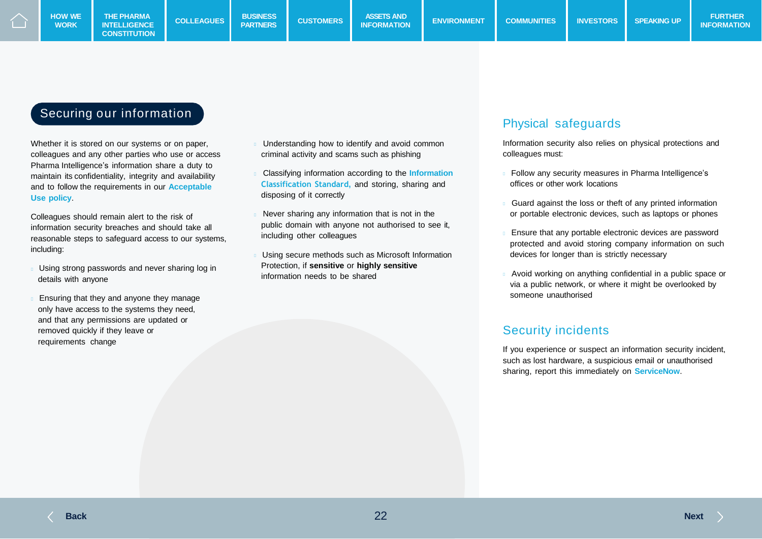**WORK**

### Securing our information

Whether it is stored on our systems or on paper, colleagues and any other parties who use or access Pharma Intelligence's information share a duty to maintain its confidentiality, integrity and availability and to follow the requirements in our **Acceptable Use policy**.

Colleagues should remain alert to the risk of information security breaches and should take all reasonable steps to safeguard access to our systems, including:

- Using strong passwords and never sharing log in details with anyone
- Ensuring that they and anyone they manage only have access to the systems they need, and that any permissions are updated or removed quickly if they leave or requirements change
- Understanding how to identify and avoid common criminal activity and scams such as phishing
- Classifying information according to the **Information Classification Standard,** and storing, sharing and disposing of it correctly
- Never sharing any information that is not in the public domain with anyone not authorised to see it, including other colleagues
- Using secure methods such as Microsoft Information Protection, if **sensitive** or **highly sensitive**  information needs to be shared

#### Physical safeguards

Information security also relies on physical protections and colleagues must:

- Follow any security measures in Pharma Intelligence's offices or other work locations
- Guard against the loss or theft of any printed information or portable electronic devices, such as laptops or phones
- Ensure that any portable electronic devices are password protected and avoid storing company information on such devices for longer than is strictly necessary
- Avoid working on anything confidential in a public space or via a public network, or where it might be overlooked by someone unauthorised

#### Security incidents

If you experience or suspect an information security incident, such as lost hardware, a suspicious email or unauthorised sharing, report this immediately on **ServiceNow**.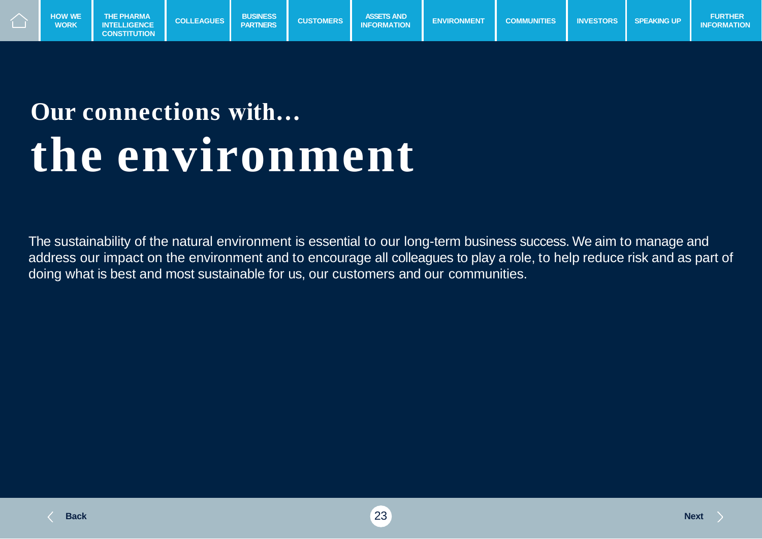

### **Our connections with… the environment**

The sustainability of the natural environment is essential to our long-term business success. We aim to manage and address our impact on the environment and to encourage all colleagues to play a role, to help reduce risk and as part of doing what is best and most sustainable for us, our customers and our communities.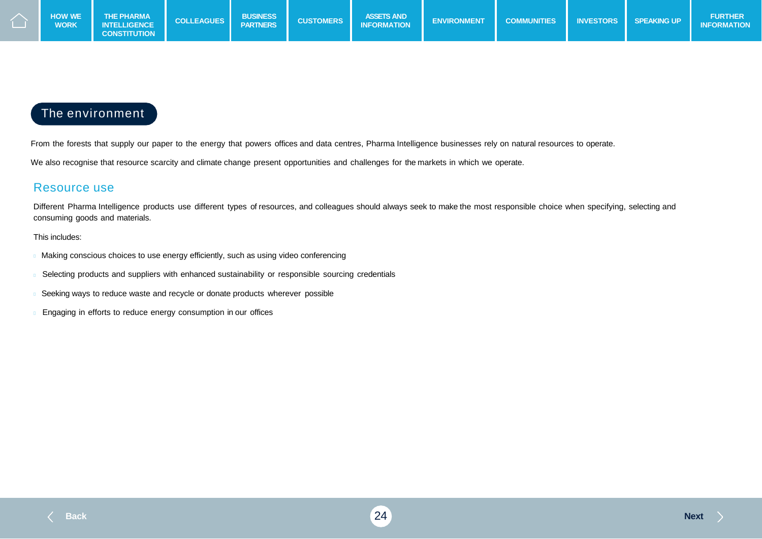

### The environment

From the forests that supply our paper to the energy that powers offices and data centres, Pharma Intelligence businesses rely on natural resources to operate.

We also recognise that resource scarcity and climate change present opportunities and challenges for the markets in which we operate.

#### Resource use

Different Pharma Intelligence products use different types of resources, and colleagues should always seek to make the most responsible choice when specifying, selecting and consuming goods and materials.

#### This includes:

- Making conscious choices to use energy efficiently, such as using video conferencing
- Selecting products and suppliers with enhanced sustainability or responsible sourcing credentials
- Seeking ways to reduce waste and recycle or donate products wherever possible
- Engaging in efforts to reduce energy consumption in our offices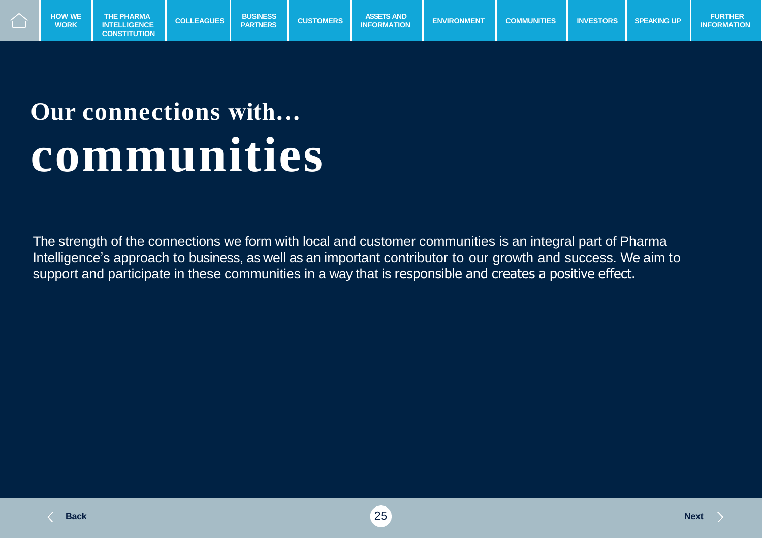

## **Our connections with… communities**

The strength of the connections we form with local and customer communities is an integral part of Pharma Intelligence's approach to business, as well as an important contributor to our growth and success. We aim to support and participate in these communities in a way that is responsible and creates a positive effect.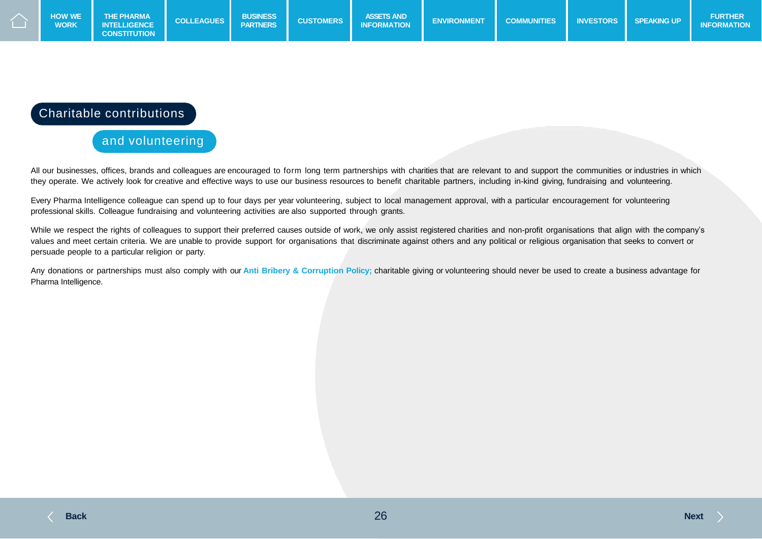

#### Charitable contributions

and volunteering

All our businesses, offices, brands and colleagues are encouraged to form long term partnerships with charities that are relevant to and support the communities or industries in which they operate. We actively look for creative and effective ways to use our business resources to benefit charitable partners, including in-kind giving, fundraising and volunteering.

Every Pharma Intelligence colleague can spend up to four days per year volunteering, subject to local management approval, with a particular encouragement for volunteering professional skills. Colleague fundraising and volunteering activities are also supported through grants.

While we respect the rights of colleagues to support their preferred causes outside of work, we only assist registered charities and non-profit organisations that align with the company's values and meet certain criteria. We are unable to provide support for organisations that discriminate against others and any political or religious organisation that seeks to convert or persuade people to a particular religion or party.

Any donations or partnerships must also comply with our **Anti Bribery & Corruption Policy;** charitable giving or volunteering should never be used to create a business advantage for Pharma Intelligence.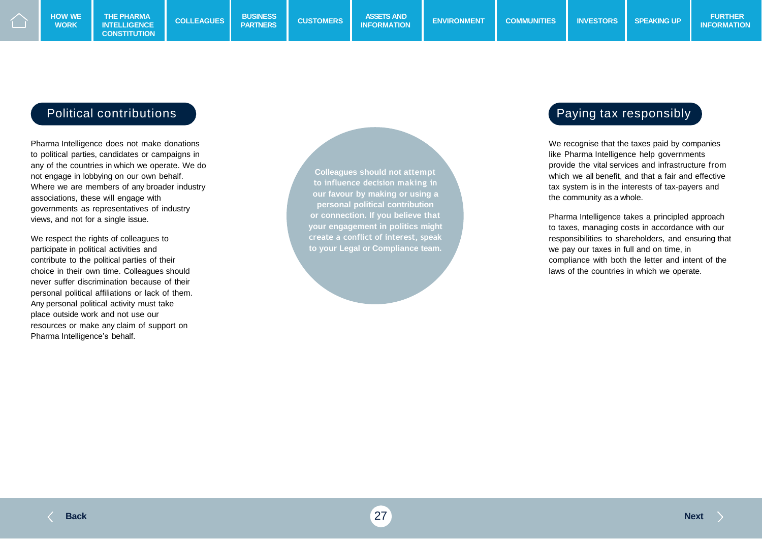#### Political contributions and the paying tax responsibly

Pharma Intelligence does not make donations to political parties, candidates or campaigns in any of the countries in which we operate. We do not engage in lobbying on our own behalf. Where we are members of any broader industry associations, these will engage with governments as representatives of industry views, and not for a single issue.

We respect the rights of colleagues to participate in political activities and contribute to the political parties of their choice in their own time. Colleagues should never suffer discrimination because of their personal political affiliations or lack of them. Any personal political activity must take place outside work and not use our resources or make any claim of support on Pharma Intelligence's behalf.

**Colleagues should not attempt to influence decision making in our favour by making or using a personal political contribution or connection. If you believe that your engagement in politics might create a conflict of interest, speak to your Legal or Compliance team.**

We recognise that the taxes paid by companies like Pharma Intelligence help governments provide the vital services and infrastructure from which we all benefit, and that a fair and effective tax system is in the interests of tax-payers and the community as a whole.

Pharma Intelligence takes a principled approach to taxes, managing costs in accordance with our responsibilities to shareholders, and ensuring that we pay our taxes in full and on time, in compliance with both the letter and intent of the laws of the countries in which we operate.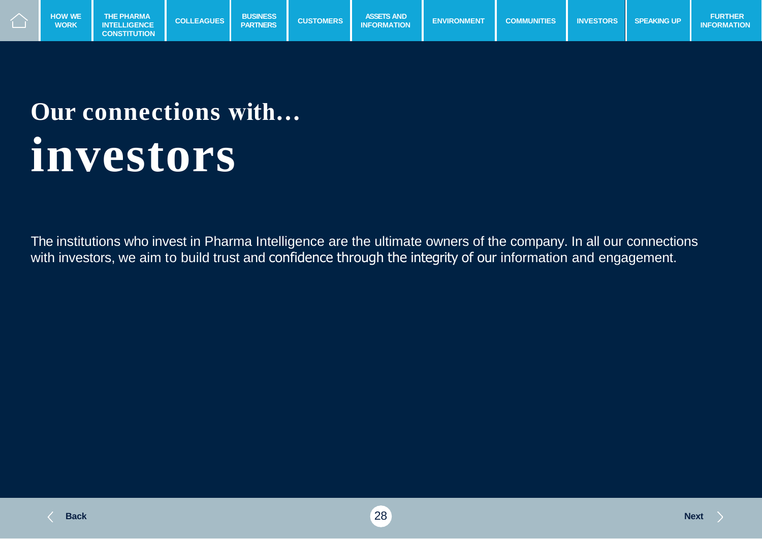

### **Our connections with… investors**

The institutions who invest in Pharma Intelligence are the ultimate owners of the company. In all our connections with investors, we aim to build trust and confidence through the integrity of our information and engagement.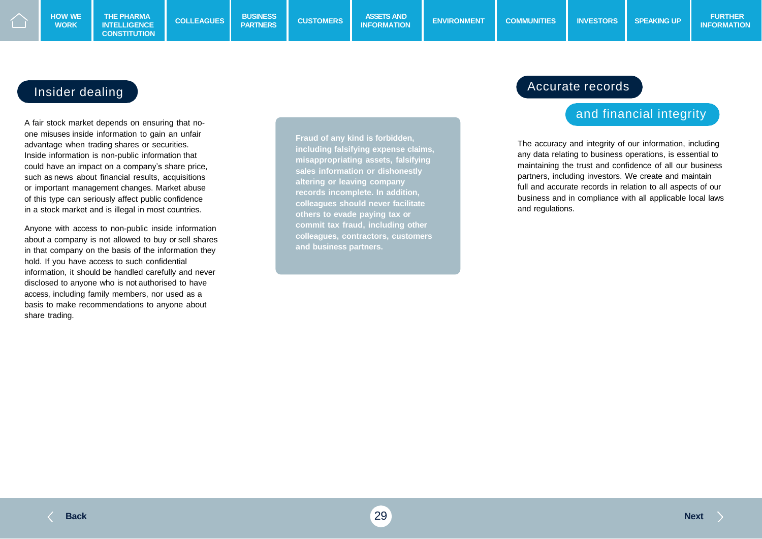#### Insider dealing

A fair stock market depends on ensuring that noone misuses inside information to gain an unfair advantage when trading shares or securities. Inside information is non-public information that could have an impact on a company's share price, such as news about financial results, acquisitions or important management changes. Market abuse of this type can seriously affect public confidence in a stock market and is illegal in most countries.

Anyone with access to non-public inside information about a company is not allowed to buy or sell shares in that company on the basis of the information they hold. If you have access to such confidential information, it should be handled carefully and never disclosed to anyone who is not authorised to have access, including family members, nor used as a basis to make recommendations to anyone about share trading.

**Fraud of any kind is forbidden, including falsifying expense claims, misappropriating assets, falsifying sales information or dishonestly altering or leaving company records incomplete. In addition, colleagues should never facilitate others to evade paying tax or commit tax fraud, including other colleagues, contractors, customers and business partners.**

#### Accurate records

#### and financial integrity

The accuracy and integrity of our information, including any data relating to business operations, is essential to maintaining the trust and confidence of all our business partners, including investors. We create and maintain full and accurate records in relation to all aspects of our business and in compliance with all applicable local laws and regulations.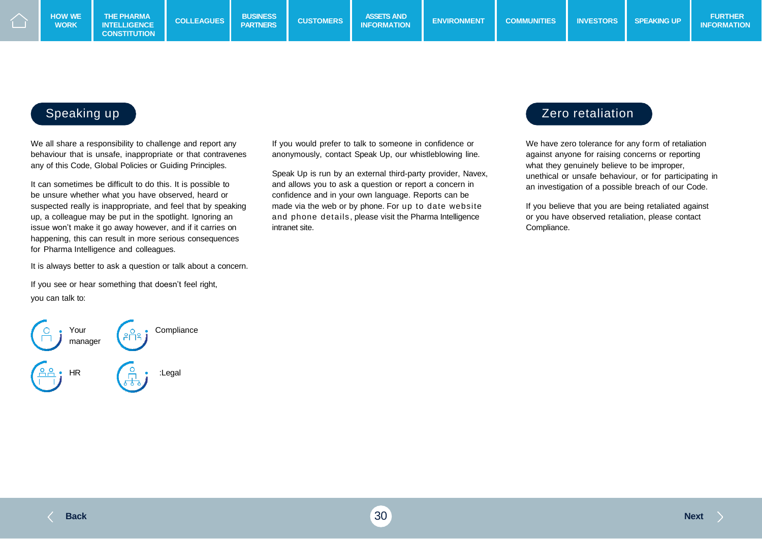**WORK**

We all share a responsibility to challenge and report any behaviour that is unsafe, inappropriate or that contravenes any of this Code, Global Policies or Guiding Principles.

It can sometimes be difficult to do this. It is possible to be unsure whether what you have observed, heard or suspected really is inappropriate, and feel that by speaking up, a colleague may be put in the spotlight. Ignoring an issue won't make it go away however, and if it carries on happening, this can result in more serious consequences for Pharma Intelligence and colleagues.

It is always better to ask a question or talk about a concern.

If you see or hear something that doesn't feel right, you can talk to:



If you would prefer to talk to someone in confidence or anonymously, contact Speak Up, our whistleblowing line.

Speak Up is run by an external third-party provider, Navex, and allows you to ask a question or report a concern in confidence and in your own language. Reports can be made via the web or by phone. For up to date website and phone details, please visit the Pharma Intelligence intranet site.

#### Speaking up 2.1 and 2.1 and 2.1 and 2.1 and 2.1 and 2.1 and 2.1 and 2.1 and 2.1 and 2.1 and 2.1 and 2.1 and 2.1 and 2.1 and 2.1 and 2.1 and 2.1 and 2.1 and 2.1 and 2.1 and 2.1 and 2.1 and 2.1 and 2.1 and 2.1 and 2.1 and 2.

We have zero tolerance for any form of retaliation against anyone for raising concerns or reporting what they genuinely believe to be improper, unethical or unsafe behaviour, or for participating in an investigation of a possible breach of our Code.

If you believe that you are being retaliated against or you have observed retaliation, please contact Compliance.